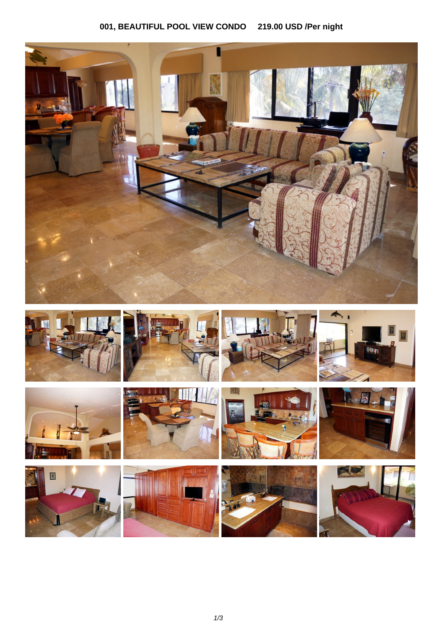## 001, BEAUTIFUL POOL VIEW CONDO 219.00 USD /Per night

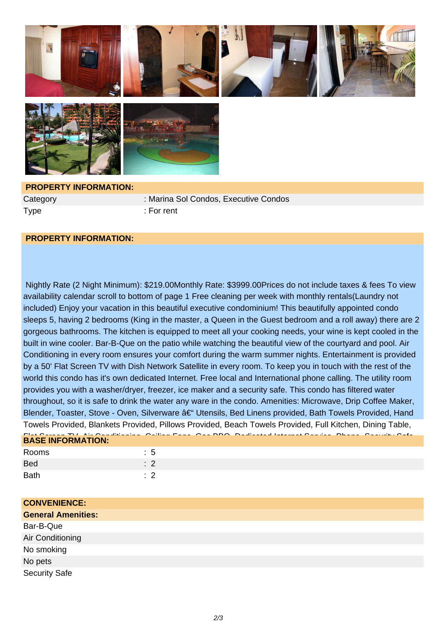



 **PROPERTY INFORMATION:**  Category : Marina Sol Condos, Executive Condos Type : For rent

## **PROPERTY INFORMATION:**

 Nightly Rate (2 Night Minimum): \$219.00Monthly Rate: \$3999.00Prices do not include taxes & fees To view availability calendar scroll to bottom of page 1 Free cleaning per week with monthly rentals(Laundry not included) Enjoy your vacation in this beautiful executive condominium! This beautifully appointed condo sleeps 5, having 2 bedrooms (King in the master, a Queen in the Guest bedroom and a roll away) there are 2 gorgeous bathrooms. The kitchen is equipped to meet all your cooking needs, your wine is kept cooled in the built in wine cooler. Bar-B-Que on the patio while watching the beautiful view of the courtyard and pool. Air Conditioning in every room ensures your comfort during the warm summer nights. Entertainment is provided by a 50' Flat Screen TV with Dish Network Satellite in every room. To keep you in touch with the rest of the world this condo has it's own dedicated Internet. Free local and International phone calling. The utility room provides you with a washer/dryer, freezer, ice maker and a security safe. This condo has filtered water throughout, so it is safe to drink the water any ware in the condo. Amenities: Microwave, Drip Coffee Maker, Blender, Toaster, Stove - Oven, Silverware – Utensils, Bed Linens provided, Bath Towels Provided, Hand Towels Provided, Blankets Provided, Pillows Provided, Beach Towels Provided, Full Kitchen, Dining Table,

| <b>BASE INFORMATION:</b> | $\Box$ . A   TH A's A  Point  A  E  A  DDA  Public distance A     A  A |
|--------------------------|------------------------------------------------------------------------|
| Rooms                    | : 5                                                                    |
| <b>Bed</b>               | $\cdot$ 2                                                              |
| <b>Bath</b>              | . 2                                                                    |

| <b>CONVENIENCE:</b>       |
|---------------------------|
| <b>General Amenities:</b> |
| Bar-B-Que                 |
| Air Conditioning          |
| No smoking                |
| No pets                   |
| <b>Security Safe</b>      |